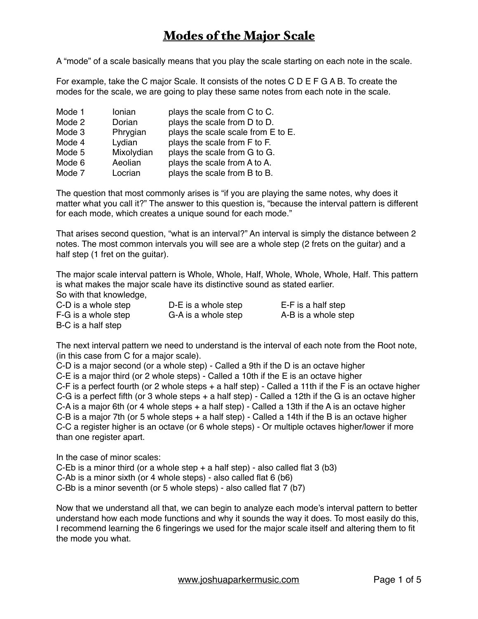A "mode" of a scale basically means that you play the scale starting on each note in the scale.

For example, take the C major Scale. It consists of the notes C D E F G A B. To create the modes for the scale, we are going to play these same notes from each note in the scale.

| Mode 1 | Ionian     | plays the scale from C to C.       |
|--------|------------|------------------------------------|
| Mode 2 | Dorian     | plays the scale from D to D.       |
| Mode 3 | Phrygian   | plays the scale scale from E to E. |
| Mode 4 | Lydian     | plays the scale from F to F.       |
| Mode 5 | Mixolydian | plays the scale from G to G.       |
| Mode 6 | Aeolian    | plays the scale from A to A.       |
| Mode 7 | Locrian    | plays the scale from B to B.       |

The question that most commonly arises is "if you are playing the same notes, why does it matter what you call it?" The answer to this question is, "because the interval pattern is different for each mode, which creates a unique sound for each mode."

That arises second question, "what is an interval?" An interval is simply the distance between 2 notes. The most common intervals you will see are a whole step (2 frets on the guitar) and a half step (1 fret on the guitar).

The major scale interval pattern is Whole, Whole, Half, Whole, Whole, Whole, Half. This pattern is what makes the major scale have its distinctive sound as stated earlier.

So with that knowledge,

C-D is a whole step D-E is a whole step E-F is a half step F-G is a whole step G-A is a whole step A-B is a whole step B-C is a half step

The next interval pattern we need to understand is the interval of each note from the Root note, (in this case from C for a major scale).

C-D is a major second (or a whole step) - Called a 9th if the D is an octave higher C-E is a major third (or 2 whole steps) - Called a 10th if the E is an octave higher C-F is a perfect fourth (or 2 whole steps + a half step) - Called a 11th if the F is an octave higher C-G is a perfect fifth (or 3 whole steps + a half step) - Called a 12th if the G is an octave higher C-A is a major 6th (or 4 whole steps  $+$  a half step) - Called a 13th if the A is an octave higher C-B is a major 7th (or 5 whole steps + a half step) - Called a 14th if the B is an octave higher C-C a register higher is an octave (or 6 whole steps) - Or multiple octaves higher/lower if more than one register apart.

In the case of minor scales:

C-Eb is a minor third (or a whole step  $+$  a half step) - also called flat 3 (b3)

C-Ab is a minor sixth (or 4 whole steps) - also called flat 6 (b6)

C-Bb is a minor seventh (or 5 whole steps) - also called flat 7 (b7)

Now that we understand all that, we can begin to analyze each mode's interval pattern to better understand how each mode functions and why it sounds the way it does. To most easily do this, I recommend learning the 6 fingerings we used for the major scale itself and altering them to fit the mode you what.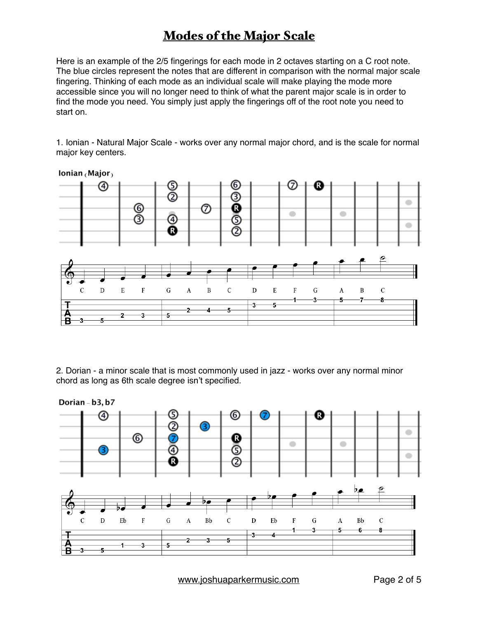Here is an example of the 2/5 fingerings for each mode in 2 octaves starting on a C root note. The blue circles represent the notes that are different in comparison with the normal major scale fingering. Thinking of each mode as an individual scale will make playing the mode more accessible since you will no longer need to think of what the parent major scale is in order to find the mode you need. You simply just apply the fingerings off of the root note you need to start on.

1. Ionian - Natural Major Scale - works over any normal major chord, and is the scale for normal major key centers.



Ionian  $(Ma)$ or

2. Dorian - a minor scale that is most commonly used in jazz - works over any normal minor chord as long as 6th scale degree isn't specified.



[www.joshuaparkermusic.com](http://www.joshuaparkermusic.com) Page 2 of 5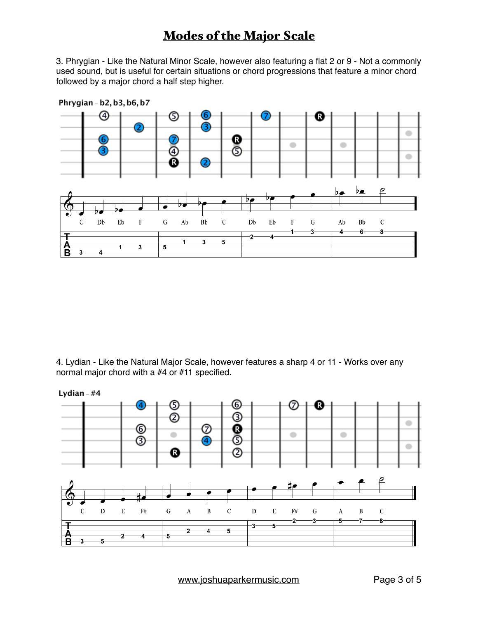3. Phrygian - Like the Natural Minor Scale, however also featuring a flat 2 or 9 - Not a commonly used sound, but is useful for certain situations or chord progressions that feature a minor chord followed by a major chord a half step higher.



4. Lydian - Like the Natural Major Scale, however features a sharp 4 or 11 - Works over any normal major chord with a #4 or #11 specified.



[www.joshuaparkermusic.com](http://www.joshuaparkermusic.com) Page 3 of 5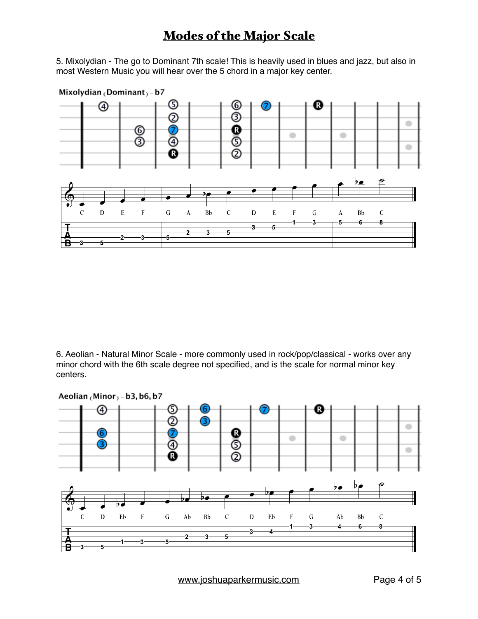5. Mixolydian - The go to Dominant 7th scale! This is heavily used in blues and jazz, but also in most Western Music you will hear over the 5 chord in a major key center.



6. Aeolian - Natural Minor Scale - more commonly used in rock/pop/classical - works over any minor chord with the 6th scale degree not specified, and is the scale for normal minor key centers.



[www.joshuaparkermusic.com](http://www.joshuaparkermusic.com) Page 4 of 5